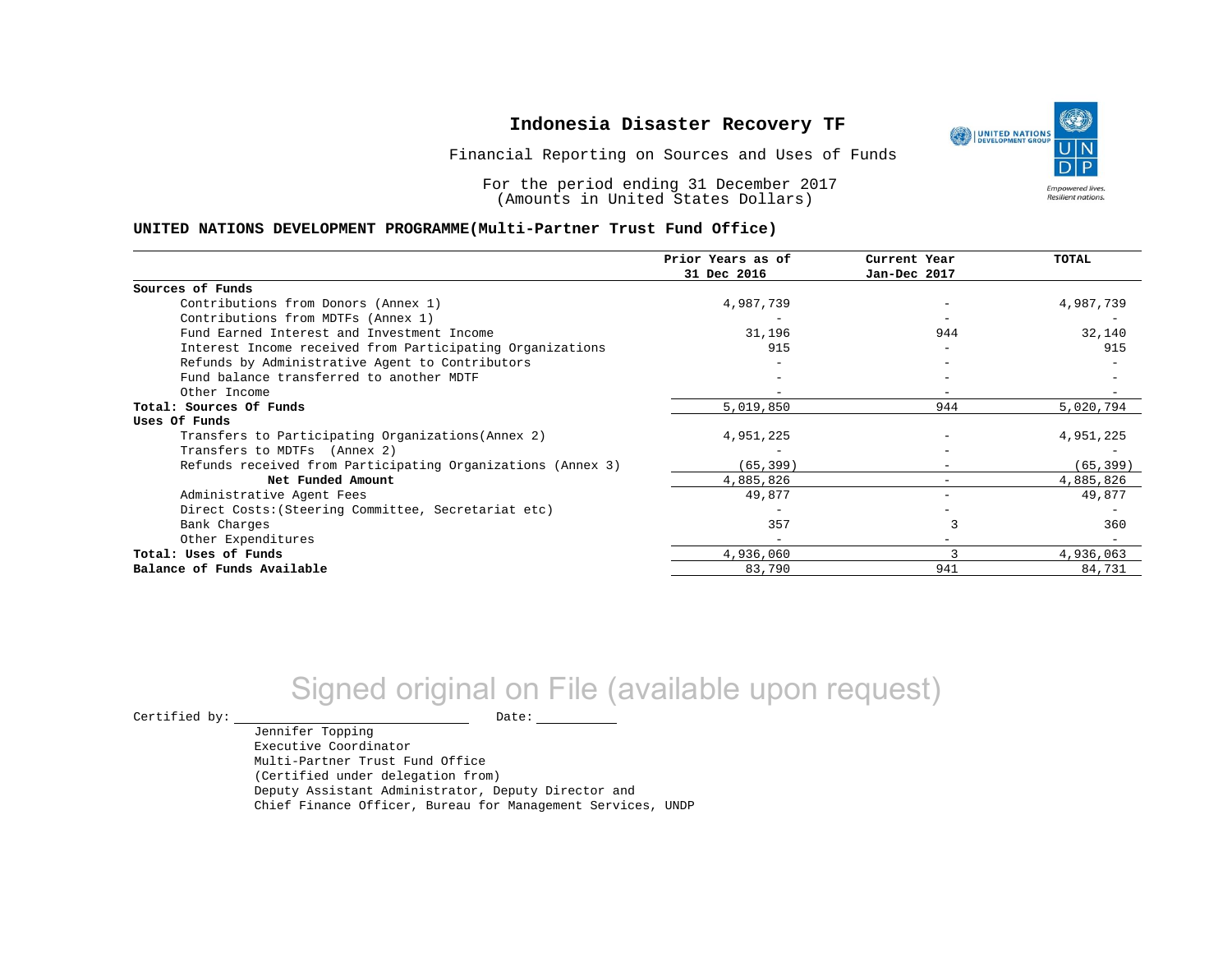Financial Reporting on Sources and Uses of Funds

For the period ending 31 December 2017 (Amounts in United States Dollars)

#### **UNITED NATIONS DEVELOPMENT PROGRAMME(Multi-Partner Trust Fund Office)**

|                                                             | Prior Years as of | Current Year | TOTAL     |
|-------------------------------------------------------------|-------------------|--------------|-----------|
|                                                             | 31 Dec 2016       | Jan-Dec 2017 |           |
| Sources of Funds                                            |                   |              |           |
| Contributions from Donors (Annex 1)                         | 4,987,739         |              | 4,987,739 |
| Contributions from MDTFs (Annex 1)                          |                   |              |           |
| Fund Earned Interest and Investment Income                  | 31,196            | 944          | 32,140    |
| Interest Income received from Participating Organizations   | 915               | $-$          | 915       |
| Refunds by Administrative Agent to Contributors             |                   |              |           |
| Fund balance transferred to another MDTF                    |                   |              |           |
| Other Income                                                |                   |              |           |
| Total: Sources Of Funds                                     | 5,019,850         | 944          | 5,020,794 |
| Uses Of Funds                                               |                   |              |           |
| Transfers to Participating Organizations (Annex 2)          | 4,951,225         |              | 4,951,225 |
| Transfers to MDTFs (Annex 2)                                |                   |              |           |
| Refunds received from Participating Organizations (Annex 3) | (65, 399)         | -            | (65, 399) |
| Net Funded Amount                                           | 4,885,826         |              | 4,885,826 |
| Administrative Agent Fees                                   | 49,877            | $-$          | 49,877    |
| Direct Costs: (Steering Committee, Secretariat etc)         |                   |              |           |
| Bank Charges                                                | 357               |              | 360       |
| Other Expenditures                                          |                   |              |           |
| Total: Uses of Funds                                        | 4,936,060         |              | 4,936,063 |
| Balance of Funds Available                                  | 83,790            | 941          | 84,731    |

# Signed original on File (available upon request)

 $\begin{tabular}{ccccc} \multicolumn{2}{c|}{\textbf{Certified by:}} & \multicolumn{2}{c|}{\textbf{Date:}} \end{tabular}$ 

Jennifer Topping Executive Coordinator Multi-Partner Trust Fund Office (Certified under delegation from) Deputy Assistant Administrator, Deputy Director and Chief Finance Officer, Bureau for Management Services, UNDP

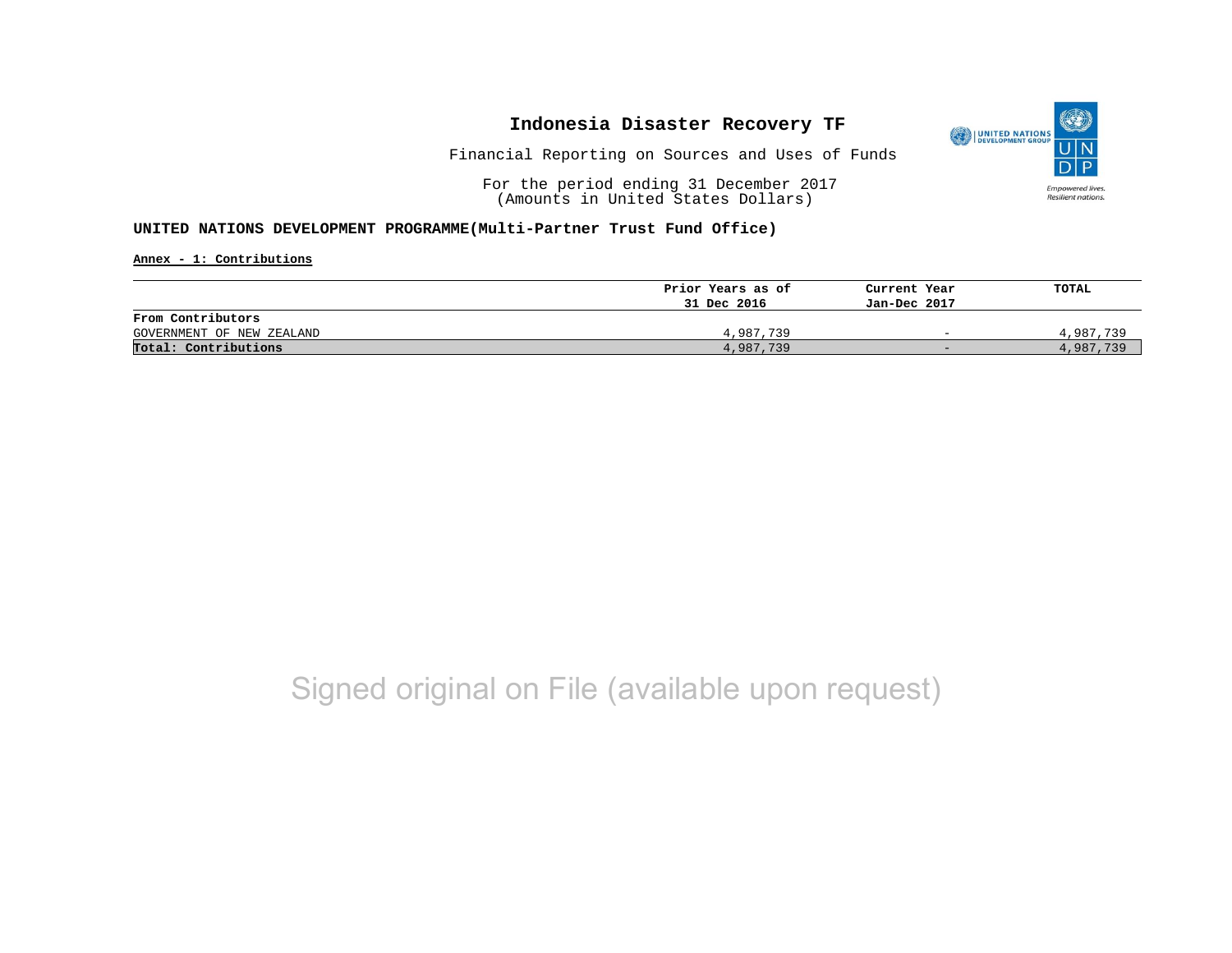

Financial Reporting on Sources and Uses of Funds

For the period ending 31 December 2017 (Amounts in United States Dollars)

### **UNITED NATIONS DEVELOPMENT PROGRAMME(Multi-Partner Trust Fund Office)**

**Annex - 1: Contributions**

|                           | Prior Years as of | Current Year             | TOTAL     |
|---------------------------|-------------------|--------------------------|-----------|
|                           | 31 Dec 2016       | Jan-Dec 2017             |           |
| From Contributors         |                   |                          |           |
| GOVERNMENT OF NEW ZEALAND | 4,987,739         | $\overline{\phantom{0}}$ | 4,987,739 |
| Total: Contributions      | 4,987,739         | $-$                      | 4,987,739 |

## Signed original on File (available upon request)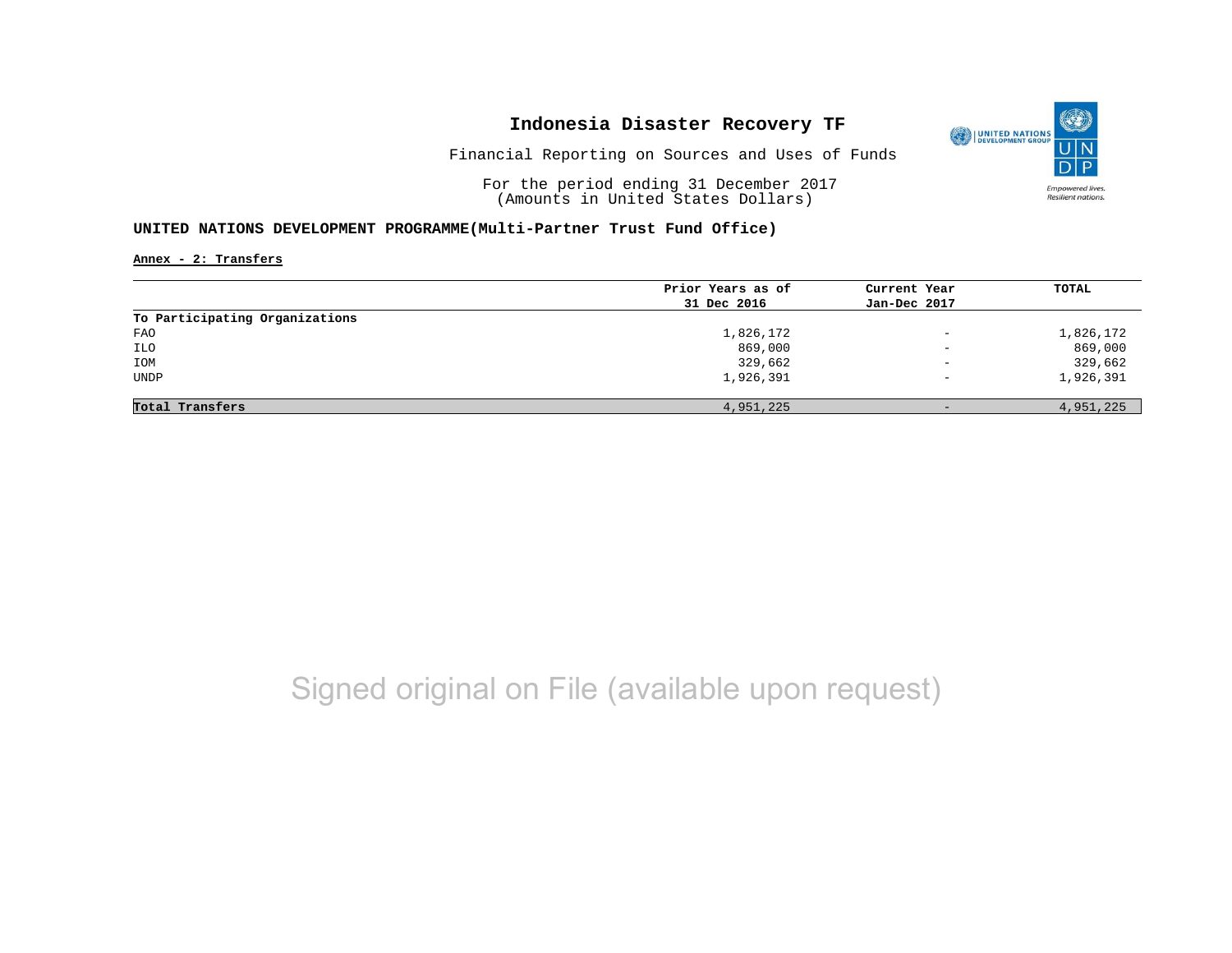

Financial Reporting on Sources and Uses of Funds

For the period ending 31 December 2017 (Amounts in United States Dollars)

### **UNITED NATIONS DEVELOPMENT PROGRAMME(Multi-Partner Trust Fund Office)**

**Annex - 2: Transfers**

|                                | Prior Years as of | Current Year             | <b>TOTAL</b> |
|--------------------------------|-------------------|--------------------------|--------------|
|                                | 31 Dec 2016       | Jan-Dec 2017             |              |
| To Participating Organizations |                   |                          |              |
| FAO                            | 1,826,172         | $\overline{\phantom{a}}$ | 1,826,172    |
| ILO                            | 869,000           | $\overline{\phantom{a}}$ | 869,000      |
| IOM                            | 329,662           | $\overline{\phantom{a}}$ | 329,662      |
| <b>UNDP</b>                    | 1,926,391         | $\qquad \qquad -$        | 1,926,391    |
|                                |                   |                          |              |
| Total Transfers                | 4,951,225         | $-$                      | 4,951,225    |

# Signed original on File (available upon request)